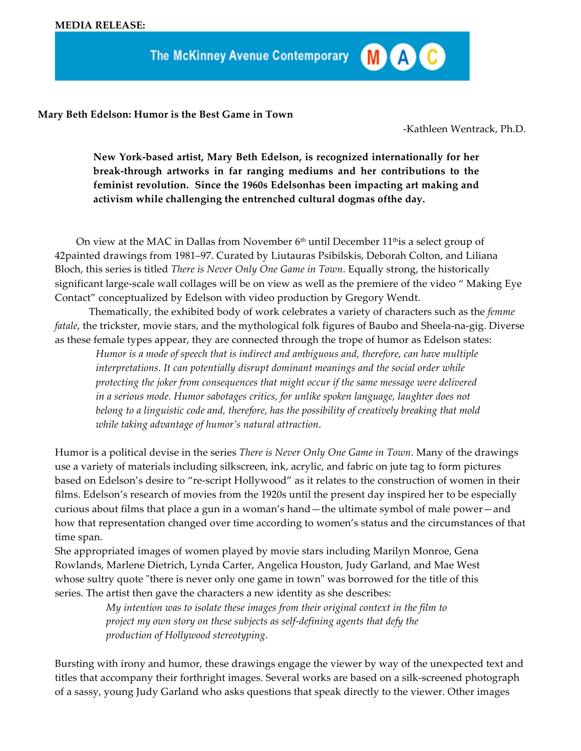The McKinney Avenue Contemporary

**Mary Beth Edelson: Humor is the Best Game in Town**

-Kathleen Wentrack, Ph.D.

MAC

**New York-based artist, Mary Beth Edelson, is recognized internationally for her break-through artworks in far ranging mediums and her contributions to the feminist revolution. Since the 1960s Edelsonhas been impacting art making and activism while challenging the entrenched cultural dogmas ofthe day.**

On view at the MAC in Dallas from November  $6<sup>th</sup>$  until December 11<sup>th</sup> is a select group of 42painted drawings from 1981–97. Curated by Liutauras Psibilskis, Deborah Colton, and Liliana Bloch, this series is titled *There is Never Only One Game in Town*. Equally strong, the historically significant large-scale wall collages will be on view as well as the premiere of the video " Making Eye Contact" conceptualized by Edelson with video production by Gregory Wendt.

Thematically, the exhibited body of work celebrates a variety of characters such as the *femme fatale*, the trickster, movie stars, and the mythological folk figures of Baubo and Sheela-na-gig. Diverse as these female types appear, they are connected through the trope of humor as Edelson states:

*Humor is a mode of speech that is indirect and ambiguous and, therefore, can have multiple interpretations. It can potentially disrupt dominant meanings and the social order while protecting the joker from consequences that might occur if the same message were delivered in a serious mode. Humor sabotages critics, for unlike spoken language, laughter does not belong to a linguistic code and, therefore, has the possibility of creatively breaking that mold while taking advantage of humor's natural attraction*.

Humor is a political devise in the series *There is Never Only One Game in Town*. Many of the drawings use a variety of materials including silkscreen, ink, acrylic, and fabric on jute tag to form pictures based on Edelson's desire to "re-script Hollywood" as it relates to the construction of women in their films. Edelson's research of movies from the 1920s until the present day inspired her to be especially curious about films that place a gun in a woman's hand—the ultimate symbol of male power—and how that representation changed over time according to women's status and the circumstances of that time span.

She appropriated images of women played by movie stars including Marilyn Monroe, Gena Rowlands, Marlene Dietrich, Lynda Carter, Angelica Houston, Judy Garland, and Mae West whose sultry quote "there is never only one game in town" was borrowed for the title of this series. The artist then gave the characters a new identity as she describes:

> *My intention was to isolate these images from their original context in the film to project my own story on these subjects as self-defining agents that defy the production of Hollywood stereotyping.*

Bursting with irony and humor, these drawings engage the viewer by way of the unexpected text and titles that accompany their forthright images. Several works are based on a silk-screened photograph of a sassy, young Judy Garland who asks questions that speak directly to the viewer. Other images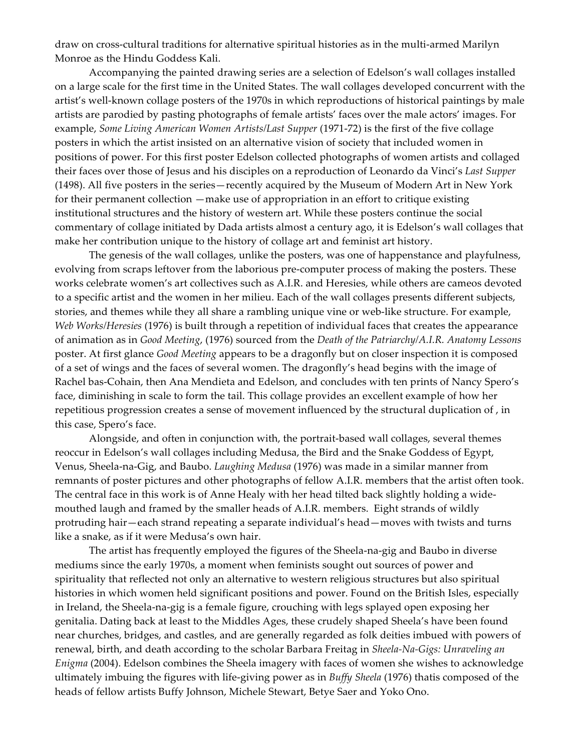draw on cross-cultural traditions for alternative spiritual histories as in the multi-armed Marilyn Monroe as the Hindu Goddess Kali.

Accompanying the painted drawing series are a selection of Edelson's wall collages installed on a large scale for the first time in the United States. The wall collages developed concurrent with the artist's well-known collage posters of the 1970s in which reproductions of historical paintings by male artists are parodied by pasting photographs of female artists' faces over the male actors' images. For example, *Some Living American Women Artists/Last Supper* (1971-72) is the first of the five collage posters in which the artist insisted on an alternative vision of society that included women in positions of power. For this first poster Edelson collected photographs of women artists and collaged their faces over those of Jesus and his disciples on a reproduction of Leonardo da Vinci's *Last Supper* (1498). All five posters in the series—recently acquired by the Museum of Modern Art in New York for their permanent collection —make use of appropriation in an effort to critique existing institutional structures and the history of western art. While these posters continue the social commentary of collage initiated by Dada artists almost a century ago, it is Edelson's wall collages that make her contribution unique to the history of collage art and feminist art history.

The genesis of the wall collages, unlike the posters, was one of happenstance and playfulness, evolving from scraps leftover from the laborious pre-computer process of making the posters. These works celebrate women's art collectives such as A.I.R. and Heresies, while others are cameos devoted to a specific artist and the women in her milieu. Each of the wall collages presents different subjects, stories, and themes while they all share a rambling unique vine or web-like structure. For example, *Web Works/Heresies* (1976) is built through a repetition of individual faces that creates the appearance of animation as in *Good Meeting*, (1976) sourced from the *Death of the Patriarchy/A.I.R. Anatomy Lessons*  poster. At first glance *Good Meeting* appears to be a dragonfly but on closer inspection it is composed of a set of wings and the faces of several women. The dragonfly's head begins with the image of Rachel bas-Cohain, then Ana Mendieta and Edelson, and concludes with ten prints of Nancy Spero's face, diminishing in scale to form the tail. This collage provides an excellent example of how her repetitious progression creates a sense of movement influenced by the structural duplication of , in this case, Spero's face.

Alongside, and often in conjunction with, the portrait-based wall collages, several themes reoccur in Edelson's wall collages including Medusa, the Bird and the Snake Goddess of Egypt, Venus, Sheela-na-Gig, and Baubo. *Laughing Medusa* (1976) was made in a similar manner from remnants of poster pictures and other photographs of fellow A.I.R. members that the artist often took. The central face in this work is of Anne Healy with her head tilted back slightly holding a widemouthed laugh and framed by the smaller heads of A.I.R. members. Eight strands of wildly protruding hair—each strand repeating a separate individual's head—moves with twists and turns like a snake, as if it were Medusa's own hair.

The artist has frequently employed the figures of the Sheela-na-gig and Baubo in diverse mediums since the early 1970s, a moment when feminists sought out sources of power and spirituality that reflected not only an alternative to western religious structures but also spiritual histories in which women held significant positions and power. Found on the British Isles, especially in Ireland, the Sheela-na-gig is a female figure, crouching with legs splayed open exposing her genitalia. Dating back at least to the Middles Ages, these crudely shaped Sheela's have been found near churches, bridges, and castles, and are generally regarded as folk deities imbued with powers of renewal, birth, and death according to the scholar Barbara Freitag in *Sheela-Na-Gigs: Unraveling an Enigma* (2004). Edelson combines the Sheela imagery with faces of women she wishes to acknowledge ultimately imbuing the figures with life-giving power as in *Buffy Sheela* (1976) thatis composed of the heads of fellow artists Buffy Johnson, Michele Stewart, Betye Saer and Yoko Ono.